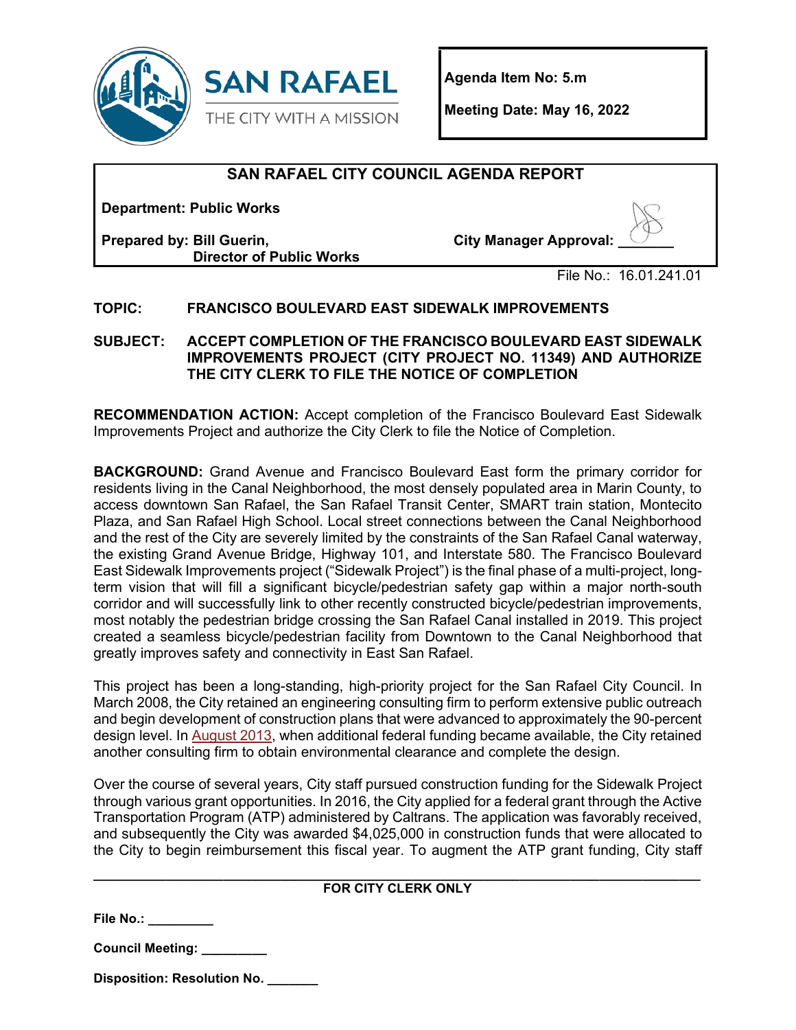

**Agenda Item No: 5.m**

**Meeting Date: May 16, 2022** 

# **SAN RAFAEL CITY COUNCIL AGENDA REPORT**

**Department: Public Works**

**Prepared by: Bill Guerin, Director of Public Works** **City Manager Approval: \_\_\_\_\_\_\_** 

File No.: 16.01.241.01

# **TOPIC: FRANCISCO BOULEVARD EAST SIDEWALK IMPROVEMENTS**

### **SUBJECT: ACCEPT COMPLETION OF THE FRANCISCO BOULEVARD EAST SIDEWALK IMPROVEMENTS PROJECT (CITY PROJECT NO. 11349) AND AUTHORIZE THE CITY CLERK TO FILE THE NOTICE OF COMPLETION**

**RECOMMENDATION ACTION:** Accept completion of the Francisco Boulevard East Sidewalk Improvements Project and authorize the City Clerk to file the Notice of Completion.

**BACKGROUND:** Grand Avenue and Francisco Boulevard East form the primary corridor for residents living in the Canal Neighborhood, the most densely populated area in Marin County, to access downtown San Rafael, the San Rafael Transit Center, SMART train station, Montecito Plaza, and San Rafael High School. Local street connections between the Canal Neighborhood and the rest of the City are severely limited by the constraints of the San Rafael Canal waterway, the existing Grand Avenue Bridge, Highway 101, and Interstate 580. The Francisco Boulevard East Sidewalk Improvements project ("Sidewalk Project") is the final phase of a multi-project, longterm vision that will fill a significant bicycle/pedestrian safety gap within a major north-south corridor and will successfully link to other recently constructed bicycle/pedestrian improvements, most notably the pedestrian bridge crossing the San Rafael Canal installed in 2019. This project created a seamless bicycle/pedestrian facility from Downtown to the Canal Neighborhood that greatly improves safety and connectivity in East San Rafael.

This project has been a long-standing, high-priority project for the San Rafael City Council. In March 2008, the City retained an engineering consulting firm to perform extensive public outreach and begin development of construction plans that were advanced to approximately the 90-percent design level. In [August 2013,](https://publicrecords.cityofsanrafael.org/WebLink/DocView.aspx?id=5067&dbid=0&repo=CityofSanRafael) when additional federal funding became available, the City retained another consulting firm to obtain environmental clearance and complete the design.

Over the course of several years, City staff pursued construction funding for the Sidewalk Project through various grant opportunities. In 2016, the City applied for a federal grant through the Active Transportation Program (ATP) administered by Caltrans. The application was favorably received, and subsequently the City was awarded \$4,025,000 in construction funds that were allocated to the City to begin reimbursement this fiscal year. To augment the ATP grant funding, City staff

#### **\_\_\_\_\_\_\_\_\_\_\_\_\_\_\_\_\_\_\_\_\_\_\_\_\_\_\_\_\_\_\_\_\_\_\_\_\_\_\_\_\_\_\_\_\_\_\_\_\_\_\_\_\_\_\_\_\_\_\_\_\_\_\_\_\_\_\_\_\_\_\_\_\_\_\_\_\_\_\_\_\_\_\_\_ FOR CITY CLERK ONLY**

**File No.: \_\_\_\_\_\_\_\_\_**

**Council Meeting: \_\_\_\_\_\_\_\_\_**

**Disposition: Resolution No. \_\_\_\_\_\_\_**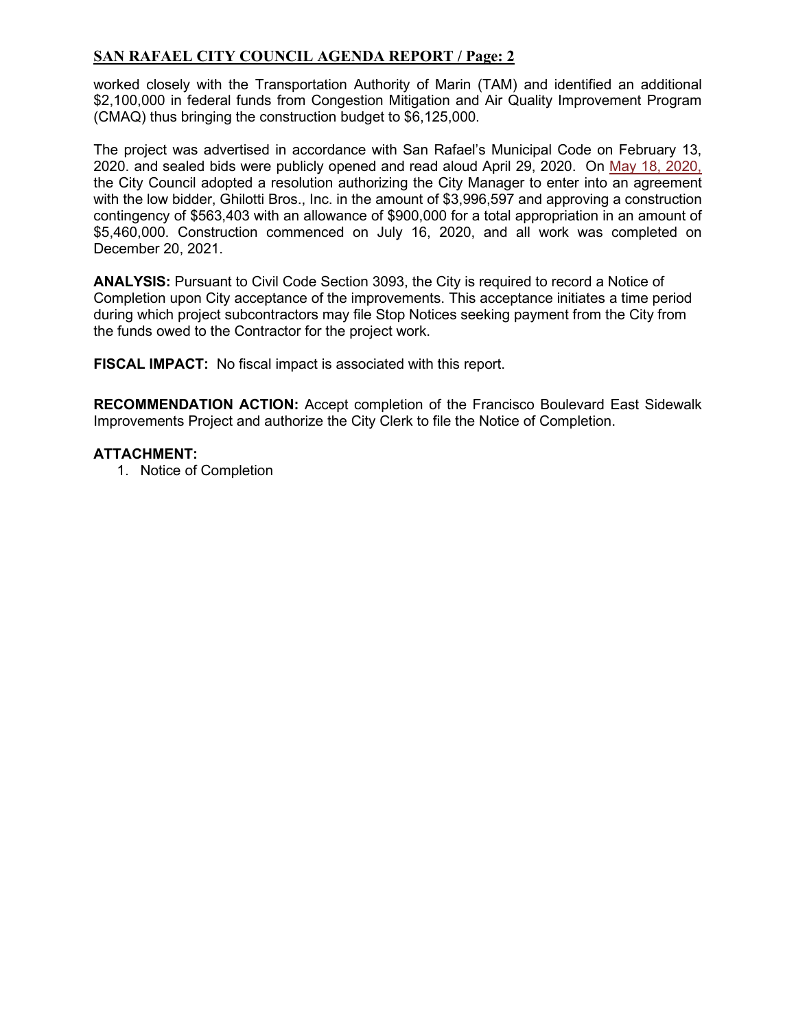# **SAN RAFAEL CITY COUNCIL AGENDA REPORT / Page: 2**

worked closely with the Transportation Authority of Marin (TAM) and identified an additional \$2,100,000 in federal funds from Congestion Mitigation and Air Quality Improvement Program (CMAQ) thus bringing the construction budget to \$6,125,000.

The project was advertised in accordance with San Rafael's Municipal Code on February 13, 2020. and sealed bids were publicly opened and read aloud April 29, 2020. On [May 18, 2020,](https://publicrecords.cityofsanrafael.org/WebLink/DocView.aspx?id=28982&dbid=0&repo=CityofSanRafael) the City Council adopted a resolution authorizing the City Manager to enter into an agreement with the low bidder, Ghilotti Bros., Inc. in the amount of \$3,996,597 and approving a construction contingency of \$563,403 with an allowance of \$900,000 for a total appropriation in an amount of \$5,460,000. Construction commenced on July 16, 2020, and all work was completed on December 20, 2021.

**ANALYSIS:** Pursuant to Civil Code Section 3093, the City is required to record a Notice of Completion upon City acceptance of the improvements. This acceptance initiates a time period during which project subcontractors may file Stop Notices seeking payment from the City from the funds owed to the Contractor for the project work.

**FISCAL IMPACT:** No fiscal impact is associated with this report.

**RECOMMENDATION ACTION:** Accept completion of the Francisco Boulevard East Sidewalk Improvements Project and authorize the City Clerk to file the Notice of Completion.

### **ATTACHMENT:**

1. Notice of Completion